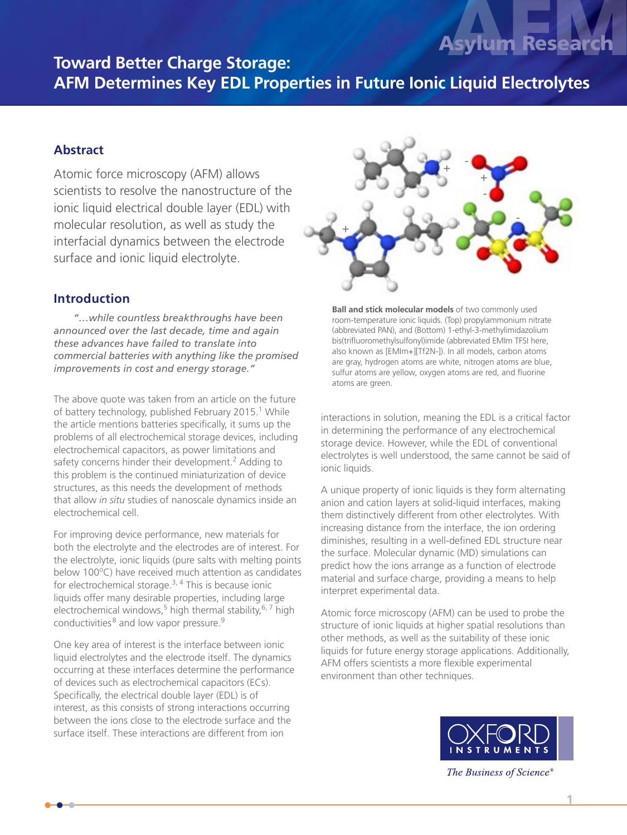# **Toward Better Charge Storage: AFM Determines Key EDL Properties in Future Ionic Liquid Electrolytes The Determines Asylum Research Determines Asylum Research**

Atomic force microscopy (AFM) allows scientists to resolve the nanostructure of the ionic liquid electrical double layer (EDL) with molecular resolution, as well as study the interfacial dynamics between the electrode surface and ionic liquid electrolyte.

### **Introduction**

 *"…while countless breakthroughs have been announced over the last decade, time and again these advances have failed to translate into commercial batteries with anything like the promised improvements in cost and energy storage."*

The above quote was taken from an article on the future of battery technology, published February 2015.<sup>1</sup> While the article mentions batteries specifically, it sums up the problems of all electrochemical storage devices, including electrochemical capacitors, as power limitations and safety concerns hinder their development.<sup>2</sup> Adding to this problem is the continued miniaturization of device structures, as this needs the development of methods that allow *in situ* studies of nanoscale dynamics inside an electrochemical cell.

For improving device performance, new materials for both the electrolyte and the electrodes are of interest. For the electrolyte, ionic liquids (pure salts with melting points below 100°C) have received much attention as candidates for electrochemical storage.<sup>3, 4</sup> This is because ionic liquids offer many desirable properties, including large electrochemical windows,<sup>5</sup> high thermal stability,<sup>6,7</sup> high conductivities<sup>8</sup> and low vapor pressure.<sup>9</sup>

One key area of interest is the interface between ionic liquid electrolytes and the electrode itself. The dynamics occurring at these interfaces determine the performance of devices such as electrochemical capacitors (ECs). Specifically, the electrical double layer (EDL) is of interest, as this consists of strong interactions occurring between the ions close to the electrode surface and the surface itself. These interactions are different from ion



**Ball and stick molecular models** of two commonly used room-temperature ionic liquids. (Top) propylammonium nitrate (abbreviated PAN), and (Bottom) 1-ethyl-3-methylimidazolium bis(trifluoromethylsulfonyl)imide (abbreviated EMIm TFSI here, also known as [EMIm+][Tf2N-]). In all models, carbon atoms are gray, hydrogen atoms are white, nitrogen atoms are blue, sulfur atoms are yellow, oxygen atoms are red, and fluorine atoms are green.

interactions in solution, meaning the EDL is a critical factor in determining the performance of any electrochemical storage device. However, while the EDL of conventional electrolytes is well understood, the same cannot be said of ionic liquids.

A unique property of ionic liquids is they form alternating anion and cation layers at solid-liquid interfaces, making them distinctively different from other electrolytes. With increasing distance from the interface, the ion ordering diminishes, resulting in a well-defined EDL structure near the surface. Molecular dynamic (MD) simulations can predict how the ions arrange as a function of electrode material and surface charge, providing a means to help interpret experimental data.

Atomic force microscopy (AFM) can be used to probe the structure of ionic liquids at higher spatial resolutions than other methods, as well as the suitability of these ionic liquids for future energy storage applications. Additionally, AFM offers scientists a more flexible experimental environment than other techniques.



The Business of Science®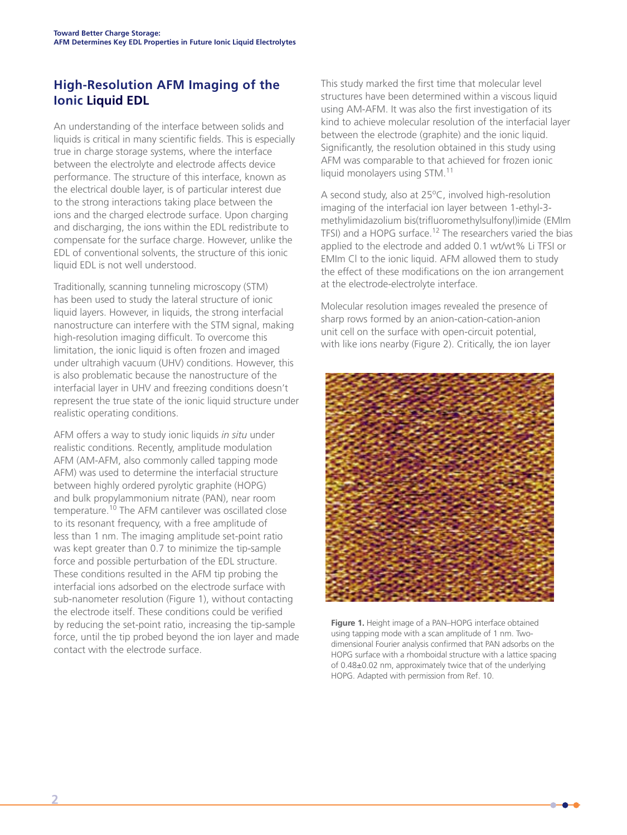# **High-Resolution AFM Imaging of the Ionic Liquid EDL**

An understanding of the interface between solids and liquids is critical in many scientific fields. This is especially true in charge storage systems, where the interface between the electrolyte and electrode affects device performance. The structure of this interface, known as the electrical double layer, is of particular interest due to the strong interactions taking place between the ions and the charged electrode surface. Upon charging and discharging, the ions within the EDL redistribute to compensate for the surface charge. However, unlike the EDL of conventional solvents, the structure of this ionic liquid EDL is not well understood.

Traditionally, scanning tunneling microscopy (STM) has been used to study the lateral structure of ionic liquid layers. However, in liquids, the strong interfacial nanostructure can interfere with the STM signal, making high-resolution imaging difficult. To overcome this limitation, the ionic liquid is often frozen and imaged under ultrahigh vacuum (UHV) conditions. However, this is also problematic because the nanostructure of the interfacial layer in UHV and freezing conditions doesn't represent the true state of the ionic liquid structure under realistic operating conditions.

AFM offers a way to study ionic liquids *in situ* under realistic conditions. Recently, amplitude modulation AFM (AM-AFM, also commonly called tapping mode AFM) was used to determine the interfacial structure between highly ordered pyrolytic graphite (HOPG) and bulk propylammonium nitrate (PAN), near room temperature.<sup>10</sup> The AFM cantilever was oscillated close to its resonant frequency, with a free amplitude of less than 1 nm. The imaging amplitude set-point ratio was kept greater than 0.7 to minimize the tip-sample force and possible perturbation of the EDL structure. These conditions resulted in the AFM tip probing the interfacial ions adsorbed on the electrode surface with sub-nanometer resolution (Figure 1), without contacting the electrode itself. These conditions could be verified by reducing the set-point ratio, increasing the tip-sample force, until the tip probed beyond the ion layer and made contact with the electrode surface.

This study marked the first time that molecular level structures have been determined within a viscous liquid using AM-AFM. It was also the first investigation of its kind to achieve molecular resolution of the interfacial layer between the electrode (graphite) and the ionic liquid. Significantly, the resolution obtained in this study using AFM was comparable to that achieved for frozen ionic liquid monolayers using STM.<sup>11</sup>

A second study, also at 25°C, involved high-resolution imaging of the interfacial ion layer between 1-ethyl-3 methylimidazolium bis(trifluoromethylsulfonyl)imide (EMIm TFSI) and a HOPG surface.12 The researchers varied the bias applied to the electrode and added 0.1 wt/wt% Li TFSI or EMIm Cl to the ionic liquid. AFM allowed them to study the effect of these modifications on the ion arrangement at the electrode-electrolyte interface.

Molecular resolution images revealed the presence of sharp rows formed by an anion-cation-cation-anion unit cell on the surface with open-circuit potential, with like ions nearby (Figure 2). Critically, the ion layer



**Figure 1.** Height image of a PAN–HOPG interface obtained using tapping mode with a scan amplitude of 1 nm. Twodimensional Fourier analysis confirmed that PAN adsorbs on the HOPG surface with a rhomboidal structure with a lattice spacing of 0.48±0.02 nm, approximately twice that of the underlying HOPG. Adapted with permission from Ref. 10.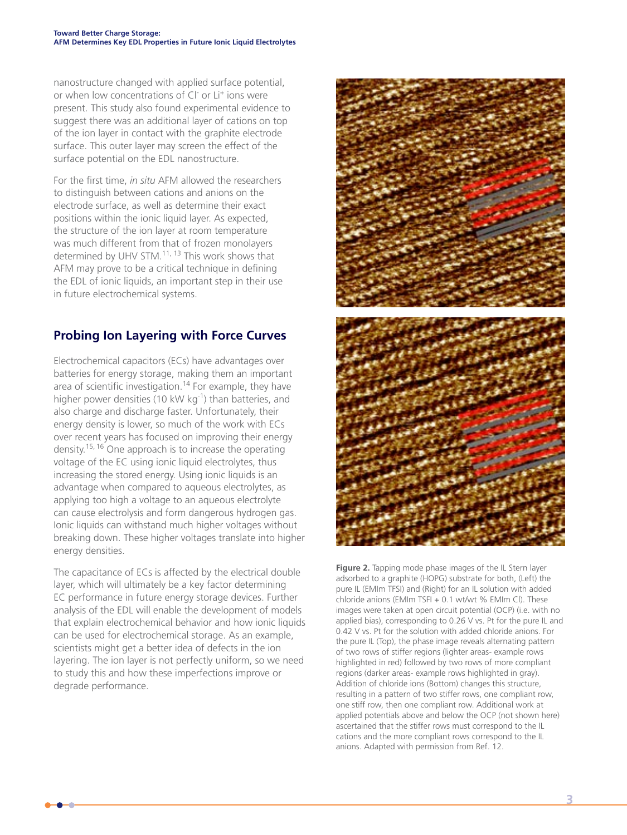nanostructure changed with applied surface potential, or when low concentrations of CI<sup>-</sup> or Li<sup>+</sup> ions were present. This study also found experimental evidence to suggest there was an additional layer of cations on top of the ion layer in contact with the graphite electrode surface. This outer layer may screen the effect of the surface potential on the EDL nanostructure.

For the first time, *in situ* AFM allowed the researchers to distinguish between cations and anions on the electrode surface, as well as determine their exact positions within the ionic liquid layer. As expected, the structure of the ion layer at room temperature was much different from that of frozen monolayers determined by UHV STM.<sup>11, 13</sup> This work shows that AFM may prove to be a critical technique in defining the EDL of ionic liquids, an important step in their use in future electrochemical systems.

# **Probing Ion Layering with Force Curves**

Electrochemical capacitors (ECs) have advantages over batteries for energy storage, making them an important area of scientific investigation.<sup>14</sup> For example, they have higher power densities (10 kW kg<sup>-1</sup>) than batteries, and also charge and discharge faster. Unfortunately, their energy density is lower, so much of the work with ECs over recent years has focused on improving their energy density.15, 16 One approach is to increase the operating voltage of the EC using ionic liquid electrolytes, thus increasing the stored energy. Using ionic liquids is an advantage when compared to aqueous electrolytes, as applying too high a voltage to an aqueous electrolyte can cause electrolysis and form dangerous hydrogen gas. Ionic liquids can withstand much higher voltages without breaking down. These higher voltages translate into higher energy densities.

The capacitance of ECs is affected by the electrical double layer, which will ultimately be a key factor determining EC performance in future energy storage devices. Further analysis of the EDL will enable the development of models that explain electrochemical behavior and how ionic liquids can be used for electrochemical storage. As an example, scientists might get a better idea of defects in the ion layering. The ion layer is not perfectly uniform, so we need to study this and how these imperfections improve or degrade performance.



**Figure 2.** Tapping mode phase images of the IL Stern layer adsorbed to a graphite (HOPG) substrate for both, (Left) the pure IL (EMIm TFSI) and (Right) for an IL solution with added chloride anions (EMIm TSFI + 0.1 wt/wt % EMIm Cl). These images were taken at open circuit potential (OCP) (i.e. with no applied bias), corresponding to 0.26 V vs. Pt for the pure IL and 0.42 V vs. Pt for the solution with added chloride anions. For the pure IL (Top), the phase image reveals alternating pattern of two rows of stiffer regions (lighter areas- example rows highlighted in red) followed by two rows of more compliant regions (darker areas- example rows highlighted in gray). Addition of chloride ions (Bottom) changes this structure, resulting in a pattern of two stiffer rows, one compliant row, one stiff row, then one compliant row. Additional work at applied potentials above and below the OCP (not shown here) ascertained that the stiffer rows must correspond to the IL cations and the more compliant rows correspond to the IL anions. Adapted with permission from Ref. 12.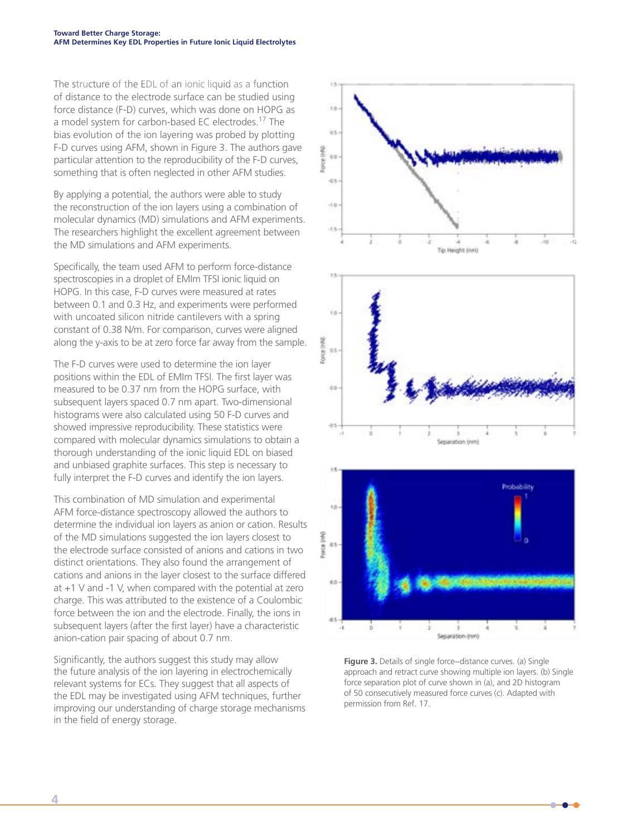The structure of the EDL of an ionic liquid as a function of distance to the electrode surface can be studied using force distance (F-D) curves, which was done on HOPG as a model system for carbon-based EC electrodes.17 The bias evolution of the ion layering was probed by plotting F-D curves using AFM, shown in Figure 3. The authors gave particular attention to the reproducibility of the F-D curves, something that is often neglected in other AFM studies.

By applying a potential, the authors were able to study the reconstruction of the ion layers using a combination of molecular dynamics (MD) simulations and AFM experiments. The researchers highlight the excellent agreement between the MD simulations and AFM experiments.

Specifically, the team used AFM to perform force-distance spectroscopies in a droplet of EMIm TFSI ionic liquid on HOPG. In this case, F-D curves were measured at rates between 0.1 and 0.3 Hz, and experiments were performed with uncoated silicon nitride cantilevers with a spring constant of 0.38 N/m. For comparison, curves were aligned along the y-axis to be at zero force far away from the sample.

The F-D curves were used to determine the ion layer positions within the EDL of EMIm TFSI. The first layer was measured to be 0.37 nm from the HOPG surface, with subsequent layers spaced 0.7 nm apart. Two-dimensional histograms were also calculated using 50 F-D curves and showed impressive reproducibility. These statistics were compared with molecular dynamics simulations to obtain a thorough understanding of the ionic liquid EDL on biased and unbiased graphite surfaces. This step is necessary to fully interpret the F-D curves and identify the ion layers.

This combination of MD simulation and experimental AFM force-distance spectroscopy allowed the authors to determine the individual ion layers as anion or cation. Results of the MD simulations suggested the ion layers closest to the electrode surface consisted of anions and cations in two distinct orientations. They also found the arrangement of cations and anions in the layer closest to the surface differed at +1 V and -1 V, when compared with the potential at zero charge. This was attributed to the existence of a Coulombic force between the ion and the electrode. Finally, the ions in subsequent layers (after the first layer) have a characteristic anion-cation pair spacing of about 0.7 nm.

Significantly, the authors suggest this study may allow the future analysis of the ion layering in electrochemically relevant systems for ECs. They suggest that all aspects of the EDL may be investigated using AFM techniques, further improving our understanding of charge storage mechanisms in the field of energy storage.



**Figure 3.** Details of single force−distance curves. (a) Single approach and retract curve showing multiple ion layers. (b) Single force separation plot of curve shown in (a), and 2D histogram of 50 consecutively measured force curves (c). Adapted with permission from Ref. 17.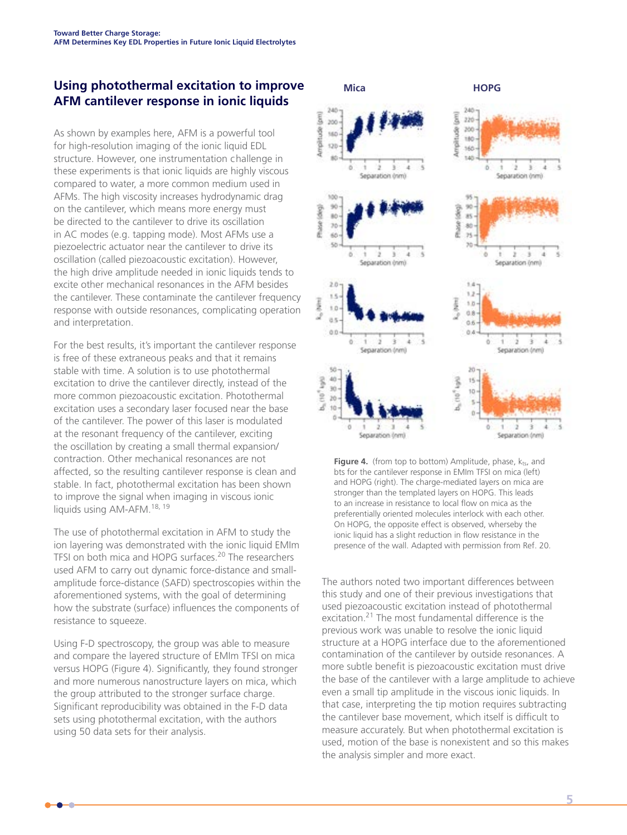# AFM Determines Key EDL Properties in Future lonic Liquid Electrolytes<br>**Using photothermal excitation to improve**<br>**AFM cantilever response in ionic liquids AFM cantilever response in ionic liquids**

As shown by examples here, AFM is a powerful tool for high-resolution imaging of the ionic liquid EDL structure. However, one instrumentation challenge in these experiments is that ionic liquids are highly viscous compared to water, a more common medium used in AFMs. The high viscosity increases hydrodynamic drag on the cantilever, which means more energy must be directed to the cantilever to drive its oscillation in AC modes (e.g. tapping mode). Most AFMs use a piezoelectric actuator near the cantilever to drive its oscillation (called piezoacoustic excitation). However, the high drive amplitude needed in ionic liquids tends to excite other mechanical resonances in the AFM besides the cantilever. These contaminate the cantilever frequency response with outside resonances, complicating operation and interpretation.

For the best results, it's important the cantilever response is free of these extraneous peaks and that it remains stable with time. A solution is to use photothermal excitation to drive the cantilever directly, instead of the more common piezoacoustic excitation. Photothermal excitation uses a secondary laser focused near the base of the cantilever. The power of this laser is modulated at the resonant frequency of the cantilever, exciting the oscillation by creating a small thermal expansion/ contraction. Other mechanical resonances are not affected, so the resulting cantilever response is clean and stable. In fact, photothermal excitation has been shown to improve the signal when imaging in viscous ionic liquids using AM-AFM.<sup>18, 19</sup>

The use of photothermal excitation in AFM to study the ion layering was demonstrated with the ionic liquid EMIm TFSI on both mica and HOPG surfaces.<sup>20</sup> The researchers used AFM to carry out dynamic force-distance and smallamplitude force-distance (SAFD) spectroscopies within the aforementioned systems, with the goal of determining how the substrate (surface) influences the components of resistance to squeeze.

Using F-D spectroscopy, the group was able to measure and compare the layered structure of EMIm TFSI on mica versus HOPG (Figure 4). Significantly, they found stronger and more numerous nanostructure layers on mica, which the group attributed to the stronger surface charge. Significant reproducibility was obtained in the F-D data sets using photothermal excitation, with the authors using 50 data sets for their analysis.

![](_page_4_Figure_6.jpeg)

Figure 4. (from top to bottom) Amplitude, phase, kts, and bts for the cantilever response in EMIm TFSI on mica (left) and HOPG (right). The charge-mediated layers on mica are stronger than the templated layers on HOPG. This leads to an increase in resistance to local flow on mica as the preferentially oriented molecules interlock with each other. On HOPG, the opposite effect is observed, wherseby the ionic liquid has a slight reduction in flow resistance in the presence of the wall. Adapted with permission from Ref. 20.

The authors noted two important differences between this study and one of their previous investigations that used piezoacoustic excitation instead of photothermal excitation.21 The most fundamental difference is the previous work was unable to resolve the ionic liquid structure at a HOPG interface due to the aforementioned contamination of the cantilever by outside resonances. A more subtle benefit is piezoacoustic excitation must drive the base of the cantilever with a large amplitude to achieve even a small tip amplitude in the viscous ionic liquids. In that case, interpreting the tip motion requires subtracting the cantilever base movement, which itself is difficult to measure accurately. But when photothermal excitation is used, motion of the base is nonexistent and so this makes the analysis simpler and more exact.